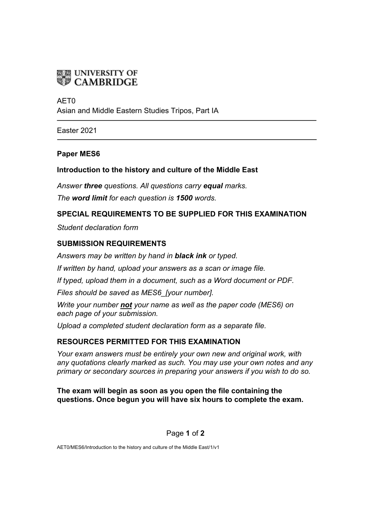

#### AET0

Asian and Middle Eastern Studies Tripos, Part IA

Easter 2021

#### **Paper MES6**

## **Introduction to the history and culture of the Middle East**

*Answer three questions. All questions carry equal marks. The word limit for each question is 1500 words.*

## **SPECIAL REQUIREMENTS TO BE SUPPLIED FOR THIS EXAMINATION**

*Student declaration form*

## **SUBMISSION REQUIREMENTS**

*Answers may be written by hand in black ink or typed.*

*If written by hand, upload your answers as a scan or image file.*

*If typed, upload them in a document, such as a Word document or PDF.*

*Files should be saved as MES6\_[your number].*

*Write your number not your name as well as the paper code (MES6) on each page of your submission.*

*Upload a completed student declaration form as a separate file.*

## **RESOURCES PERMITTED FOR THIS EXAMINATION**

*Your exam answers must be entirely your own new and original work, with any quotations clearly marked as such. You may use your own notes and any primary or secondary sources in preparing your answers if you wish to do so.*

## **The exam will begin as soon as you open the file containing the questions. Once begun you will have six hours to complete the exam.**

Page **1** of **2**

AET0/MES6/Introduction to the history and culture of the Middle East/1/v1